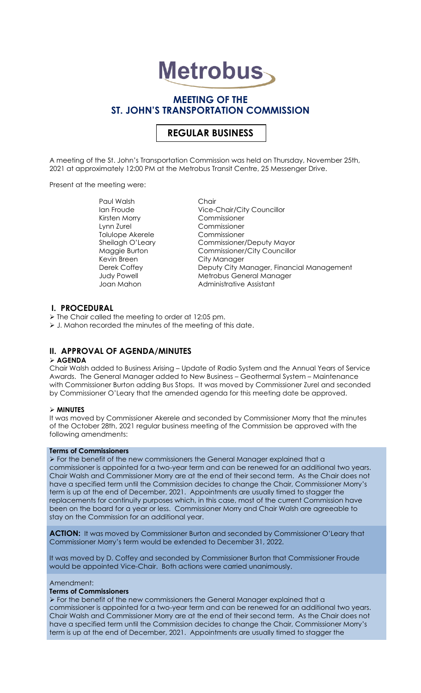# **Metrobus**

# **MEETING OF THE ST. JOHN'S TRANSPORTATION COMMISSION**

# **REGULAR BUSINESS**

A meeting of the St. John's Transportation Commission was held on Thursday, November 25th, 2021 at approximately 12:00 PM at the Metrobus Transit Centre, 25 Messenger Drive.

Present at the meeting were:

Paul Walsh Chair Kirsten Morry Lynn Zurel Commissioner Tolulope Akerele Commissioner<br>Sheilagh O'Leary Commissioner, Kevin Breen City Manager

Ian Froude Vice-Chair/City Councillor<br>
Kirsten Morry Commissioner Commissioner/Deputy Mayor Maggie Burton Commissioner/City Councillor Derek Coffey Deputy City Manager, Financial Management Metrobus General Manager Joan Mahon **Administrative Assistant** 

# **I. PROCEDURAL**

➢ The Chair called the meeting to order at 12:05 pm.

➢ J. Mahon recorded the minutes of the meeting of this date.

# **II. APPROVAL OF AGENDA/MINUTES**

#### ➢ **AGENDA**

Chair Walsh added to Business Arising – Update of Radio System and the Annual Years of Service Awards. The General Manager added to New Business – Geothermal System – Maintenance with Commissioner Burton adding Bus Stops. It was moved by Commissioner Zurel and seconded by Commissioner O'Leary that the amended agenda for this meeting date be approved.

#### ➢ **MINUTES**

It was moved by Commissioner Akerele and seconded by Commissioner Morry that the minutes of the October 28th, 2021 regular business meeting of the Commission be approved with the following amendments:

# **Terms of Commissioners**

➢ For the benefit of the new commissioners the General Manager explained that a commissioner is appointed for a two-year term and can be renewed for an additional two years. Chair Walsh and Commissioner Morry are at the end of their second term. As the Chair does not have a specified term until the Commission decides to change the Chair, Commissioner Morry's term is up at the end of December, 2021. Appointments are usually timed to stagger the replacements for continuity purposes which, in this case, most of the current Commission have been on the board for a year or less. Commissioner Morry and Chair Walsh are agreeable to stay on the Commission for an additional year.

**ACTION:** It was moved by Commissioner Burton and seconded by Commissioner O'Leary that Commissioner Morry's term would be extended to December 31, 2022.

It was moved by D. Coffey and seconded by Commissioner Burton that Commissioner Froude would be appointed Vice-Chair. Both actions were carried unanimously.

#### Amendment:

#### **Terms of Commissioners**

➢ For the benefit of the new commissioners the General Manager explained that a commissioner is appointed for a two-year term and can be renewed for an additional two years. Chair Walsh and Commissioner Morry are at the end of their second term. As the Chair does not have a specified term until the Commission decides to change the Chair, Commissioner Morry's term is up at the end of December, 2021. Appointments are usually timed to stagger the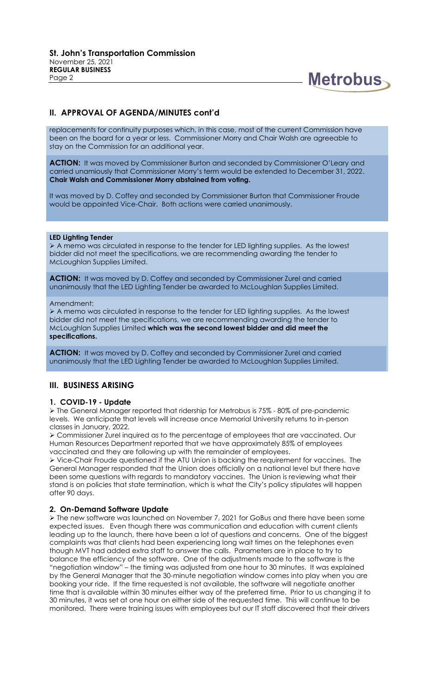

# **II. APPROVAL OF AGENDA/MINUTES cont'd**

replacements for continuity purposes which, in this case, most of the current Commission have been on the board for a year or less. Commissioner Morry and Chair Walsh are agreeable to stay on the Commission for an additional year.

**ACTION:** It was moved by Commissioner Burton and seconded by Commissioner O'Leary and carried unamiously that Commissioner Morry's term would be extended to December 31, 2022. **Chair Walsh and Commissioner Morry abstained from voting.**

It was moved by D. Coffey and seconded by Commissioner Burton that Commissioner Froude would be appointed Vice-Chair. Both actions were carried unanimously.

#### **LED Lighting Tender**

➢ A memo was circulated in response to the tender for LED lighting supplies. As the lowest bidder did not meet the specifications, we are recommending awarding the tender to McLoughlan Supplies Limited.

**ACTION:** It was moved by D. Coffey and seconded by Commissioner Zurel and carried unanimously that the LED Lighting Tender be awarded to McLoughlan Supplies Limited.

#### Amendment:

➢ A memo was circulated in response to the tender for LED lighting supplies. As the lowest bidder did not meet the specifications, we are recommending awarding the tender to McLoughlan Supplies Limited **which was the second lowest bidder and did meet the specifications.**

**ACTION:** It was moved by D. Coffey and seconded by Commissioner Zurel and carried unanimously that the LED Lighting Tender be awarded to McLoughlan Supplies Limited.

# **III. BUSINESS ARISING**

#### **1. COVID-19 - Update**

➢ The General Manager reported that ridership for Metrobus is 75% - 80% of pre-pandemic levels. We anticipate that levels will increase once Memorial University returns to in-person classes in January, 2022.

➢ Commissioner Zurel inquired as to the percentage of employees that are vaccinated. Our Human Resources Department reported that we have approximately 85% of employees vaccinated and they are following up with the remainder of employees.

➢ Vice-Chair Froude questioned if the ATU Union is backing the requirement for vaccines. The General Manager responded that the Union does officially on a national level but there have been some questions with regards to mandatory vaccines. The Union is reviewing what their stand is on policies that state termination, which is what the City's policy stipulates will happen after 90 days.

#### **2. On-Demand Software Update**

➢ The new software was launched on November 7, 2021 for GoBus and there have been some expected issues. Even though there was communication and education with current clients leading up to the launch, there have been a lot of questions and concerns. One of the biggest complaints was that clients had been experiencing long wait times on the telephones even though MVT had added extra staff to answer the calls. Parameters are in place to try to balance the efficiency of the software. One of the adjustments made to the software is the "negotiation window" – the timing was adjusted from one hour to 30 minutes. It was explained by the General Manager that the 30-minute negotiation window comes into play when you are booking your ride. If the time requested is not available, the software will negotiate another time that is available within 30 minutes either way of the preferred time. Prior to us changing it to 30 minutes, it was set at one hour on either side of the requested time. This will continue to be monitored. There were training issues with employees but our IT staff discovered that their drivers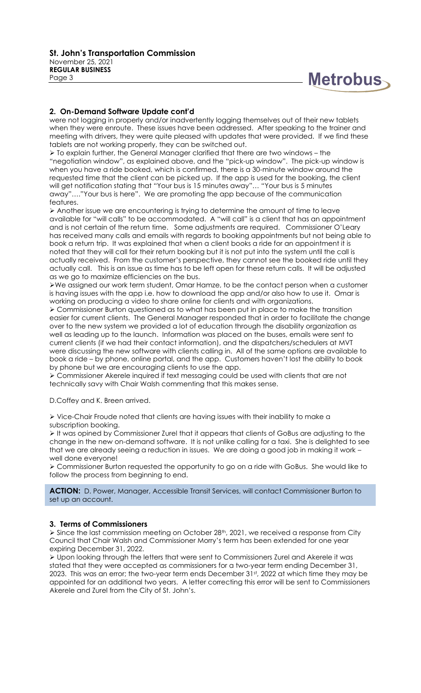

## **2. On-Demand Software Update cont'd**

were not logging in properly and/or inadvertently logging themselves out of their new tablets when they were enroute. These issues have been addressed. After speaking to the trainer and meeting with drivers, they were quite pleased with updates that were provided. If we find these tablets are not working properly, they can be switched out.

 $\geq$  To explain further, the General Manager clarified that there are two windows – the "negotiation window", as explained above, and the "pick-up window". The pick-up window is when you have a ride booked, which is confirmed, there is a 30-minute window around the requested time that the client can be picked up. If the app is used for the booking, the client will get notification stating that "Your bus is 15 minutes away"… "Your bus is 5 minutes away"…."Your bus is here". We are promoting the app because of the communication features.

➢ Another issue we are encountering is trying to determine the amount of time to leave available for "will calls" to be accommodated. A "will call" is a client that has an appointment and is not certain of the return time. Some adjustments are required. Commissioner O'Leary has received many calls and emails with regards to booking appointments but not being able to book a return trip. It was explained that when a client books a ride for an appointment it is noted that they will call for their return booking but it is not put into the system until the call is actually received. From the customer's perspective, they cannot see the booked ride until they actually call. This is an issue as time has to be left open for these return calls. It will be adjusted as we go to maximize efficiencies on the bus.

➢We assigned our work term student, Omar Hamze, to be the contact person when a customer is having issues with the app i.e. how to download the app and/or also how to use it. Omar is working on producing a video to share online for clients and with organizations.

➢ Commissioner Burton questioned as to what has been put in place to make the transition easier for current clients. The General Manager responded that in order to facilitate the change over to the new system we provided a lot of education through the disability organization as well as leading up to the launch. Information was placed on the buses, emails were sent to current clients (if we had their contact information), and the dispatchers/schedulers at MVT were discussing the new software with clients calling in. All of the same options are available to book a ride – by phone, online portal, and the app. Customers haven't lost the ability to book by phone but we are encouraging clients to use the app.

➢ Commissioner Akerele inquired if text messaging could be used with clients that are not technically savy with Chair Walsh commenting that this makes sense.

D.Coffey and K. Breen arrived.

➢ Vice-Chair Froude noted that clients are having issues with their inability to make a subscription booking.

➢ It was opined by Commissioner Zurel that it appears that clients of GoBus are adjusting to the change in the new on-demand software. It is not unlike calling for a taxi. She is delighted to see that we are already seeing a reduction in issues. We are doing a good job in making it work – well done everyone!

➢ Commissioner Burton requested the opportunity to go on a ride with GoBus. She would like to follow the process from beginning to end.

ACTION: D. Power, Manager, Accessible Transit Services, will contact Commissioner Burton to set up an account.

#### **3. Terms of Commissioners**

➢ Since the last commission meeting on October 28th, 2021, we received a response from City Council that Chair Walsh and Commissioner Morry's term has been extended for one year expiring December 31, 2022.

➢ Upon looking through the letters that were sent to Commissioners Zurel and Akerele it was stated that they were accepted as commissioners for a two-year term ending December 31, 2023. This was an error; the two-year term ends December 31st, 2022 at which time they may be appointed for an additional two years. A letter correcting this error will be sent to Commissioners Akerele and Zurel from the City of St. John's.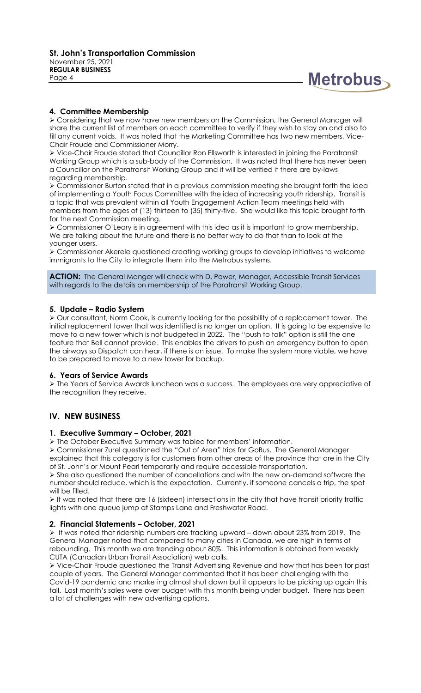

## **4. Committee Membership**

➢ Considering that we now have new members on the Commission, the General Manager will share the current list of members on each committee to verify if they wish to stay on and also to fill any current voids. It was noted that the Marketing Committee has two new members, Vice-Chair Froude and Commissioner Morry.

➢ Vice-Chair Froude stated that Councillor Ron Ellsworth is interested in joining the Paratransit Working Group which is a sub-body of the Commission. It was noted that there has never been a Councillor on the Paratransit Working Group and it will be verified if there are by-laws regarding membership.

➢ Commissioner Burton stated that in a previous commission meeting she brought forth the idea of implementing a Youth Focus Committee with the idea of increasing youth ridership. Transit is a topic that was prevalent within all Youth Engagement Action Team meetings held with members from the ages of (13) thirteen to (35) thirty-five. She would like this topic brought forth for the next Commission meeting.

➢ Commissioner O'Leary is in agreement with this idea as it is important to grow membership. We are talking about the future and there is no better way to do that than to look at the younger users.

➢ Commissioner Akerele questioned creating working groups to develop initiatives to welcome immigrants to the City to integrate them into the Metrobus systems.

ACTION: The General Manger will check with D. Power, Manager, Accessible Transit Services with regards to the details on membership of the Paratransit Working Group.

#### **5. Update – Radio System**

➢ Our consultant, Norm Cook, is currently looking for the possibility of a replacement tower. The initial replacement tower that was identified is no longer an option. It is going to be expensive to move to a new tower which is not budgeted in 2022. The "push to talk" option is still the one feature that Bell cannot provide. This enables the drivers to push an emergency button to open the airways so Dispatch can hear, if there is an issue. To make the system more viable, we have to be prepared to move to a new tower for backup.

#### **6. Years of Service Awards**

➢ The Years of Service Awards luncheon was a success. The employees are very appreciative of the recognition they receive.

# **IV. NEW BUSINESS**

#### **1. Executive Summary – October, 2021**

➢ The October Executive Summary was tabled for members' information.

➢ Commissioner Zurel questioned the "Out of Area" trips for GoBus. The General Manager explained that this category is for customers from other areas of the province that are in the City of St. John's or Mount Pearl temporarily and require accessible transportation.

➢ She also questioned the number of cancellations and with the new on-demand software the number should reduce, which is the expectation. Currently, if someone cancels a trip, the spot will be filled.

➢ It was noted that there are 16 (sixteen) intersections in the city that have transit priority traffic lights with one queue jump at Stamps Lane and Freshwater Road.

#### **2. Financial Statements – October, 2021**

➢ It was noted that ridership numbers are tracking upward – down about 23% from 2019. The General Manager noted that compared to many cities in Canada, we are high in terms of rebounding. This month we are trending about 80%. This information is obtained from weekly CUTA (Canadian Urban Transit Association) web calls.

➢ Vice-Chair Froude questioned the Transit Advertising Revenue and how that has been for past couple of years. The General Manager commented that it has been challenging with the Covid-19 pandemic and marketing almost shut down but it appears to be picking up again this fall. Last month's sales were over budget with this month being under budget. There has been a lot of challenges with new advertising options.